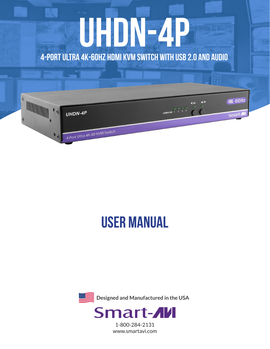# **UHDN-4p 4-Port Ultra 4K-60Hz HDMI KVM Switch with USB 2.0 and Audio**



## **USER MANUAL**



1-800-284-2131 www.smartavi.com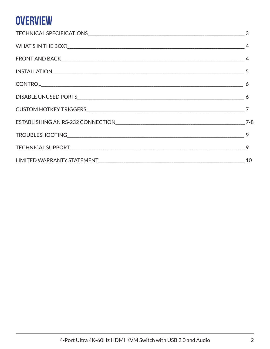### **OVERVIEW**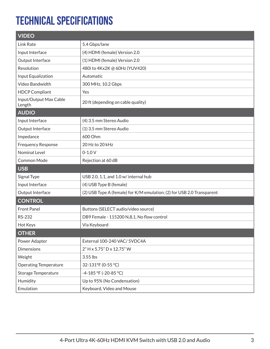### **Technical Specifications**

| <b>VIDEO</b>                     |                                                                        |  |  |  |
|----------------------------------|------------------------------------------------------------------------|--|--|--|
| Link Rate                        | 5.4 Gbps/lane                                                          |  |  |  |
| Input Interface                  | (4) HDMI (female) Version 2.0                                          |  |  |  |
| Output Interface                 | (1) HDMI (female) Version 2.0                                          |  |  |  |
| Resolution                       | 480i to 4Kx2K @ 60Hz (YUV420)                                          |  |  |  |
| Input Equalization               | Automatic                                                              |  |  |  |
| <b>Video Bandwidth</b>           | 300 MHz, 10.2 Gbps                                                     |  |  |  |
| <b>HDCP Compliant</b>            | Yes                                                                    |  |  |  |
| Input/Output Max Cable<br>Length | 20 ft (depending on cable quality)                                     |  |  |  |
| <b>AUDIO</b>                     |                                                                        |  |  |  |
| Input Interface                  | (4) 3.5 mm Stereo Audio                                                |  |  |  |
| Output Interface                 | (1) 3.5 mm Stereo Audio                                                |  |  |  |
| Impedance                        | 600 Ohm                                                                |  |  |  |
| <b>Frequency Response</b>        | 20 Hz to 20 kHz                                                        |  |  |  |
| <b>Nominal Level</b>             | $0 - 1.0 V$                                                            |  |  |  |
| Common Mode                      | Rejection at 60 dB                                                     |  |  |  |
|                                  |                                                                        |  |  |  |
| <b>USB</b>                       |                                                                        |  |  |  |
| Signal Type                      | USB 2.0, 1.1, and 1.0 w/ internal hub                                  |  |  |  |
| Input Interface                  | (4) USB Type B (female)                                                |  |  |  |
| Output Interface                 | (2) USB Type A (female) for K/M emulation; (2) for USB 2.0 Transparent |  |  |  |
| <b>CONTROL</b>                   |                                                                        |  |  |  |
| <b>Front Panel</b>               | Buttons (SELECT audio/video source)                                    |  |  |  |
| <b>RS-232</b>                    | DB9 Female - 115200 N,8,1, No flow control                             |  |  |  |
| Hot Keys                         | Via Keyboard                                                           |  |  |  |
| <b>OTHER</b>                     |                                                                        |  |  |  |
| Power Adapter                    | External 100-240 VAC/ 5VDC4A                                           |  |  |  |
| <b>Dimensions</b>                | 2" H x 5.75" D x 12.75" W                                              |  |  |  |
| Weight                           | 3.55 lbs                                                               |  |  |  |
| <b>Operating Temperature</b>     | 32-131°F (0-55 °C)                                                     |  |  |  |
| <b>Storage Temperature</b>       | -4-185 °F (-20-85 °C)                                                  |  |  |  |
| Humidity                         | Up to 95% (No Condensation)                                            |  |  |  |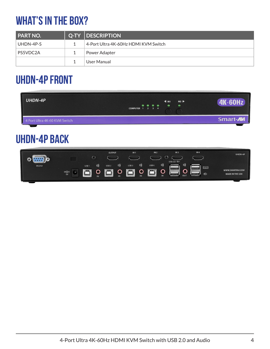### **What's in the box?**

| <b>PART NO.</b> | <b>Q-TY   DESCRIPTION</b>            |
|-----------------|--------------------------------------|
| UHDN-4P-S       | 4-Port Ultra 4K-60Hz HDMI KVM Switch |
| PS5VDC2A        | Power Adapter                        |
|                 | User Manual                          |

### **UHDN-4P FRONT**

| UHDN-4P                       | $M2 \triangleright$<br>$\blacktriangleleft$ M1<br>$\begin{array}{ccccccccccccccccc} \bullet & \bullet & \bullet & \bullet & \bullet & \bullet \end{array}$<br>$\bullet$<br>$\bullet$<br>COMPUTER 1 2 3 4 | ART.<br><b>ДК – 1</b> |
|-------------------------------|----------------------------------------------------------------------------------------------------------------------------------------------------------------------------------------------------------|-----------------------|
| 4 Port Ultra 4K-60 KVM Switch |                                                                                                                                                                                                          | Smart-AVI             |

### **UHDN-4P BACK**

|              |                                                                         | <b>OUTPUT</b>                           | IN <sub>1</sub>                    | IN <sub>2</sub>         | IN <sub>3</sub>                           | <b>IN4</b>                                   | UHDN-4P                |
|--------------|-------------------------------------------------------------------------|-----------------------------------------|------------------------------------|-------------------------|-------------------------------------------|----------------------------------------------|------------------------|
|              | $\bullet$                                                               | <b><i>SECONDEMAND</i></b>               |                                    |                         |                                           |                                              |                        |
| <b>RS232</b> | $\left( \begin{matrix} 0 \\ 1 \end{matrix} \right)$<br>USB <sub>1</sub> | $\langle 0 \rangle$<br>USB <sub>2</sub> | $\langle$ (1))<br>USB <sub>3</sub> | ((1<br>USB <sub>4</sub> | $USB 2.0$ $42$                            |                                              |                        |
|              | ၜၜႄၜ                                                                    |                                         | --                                 | $\sqrt{1.5}$            |                                           | <b>FOR A</b>                                 | WWW.SMARTAVI.COM       |
|              | 5V<br>$\cdots$                                                          | IN                                      | IN                                 | IN                      | $\sim$ $\sim$ $\sim$ $\sim$ $\sim$<br>OUT | $\bigoplus$<br><b>Commercial Association</b> | <b>MADE IN THE USA</b> |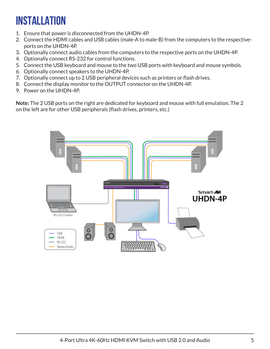### **INSTALLATION**

- 1. Ensure that power is disconnected from the UHDN-4P.
- 2. Connect the HDMI cables and USB cables (male-A to male-B) from the computers to the respectiveports on the UHDN-4P.
- 3. Optionally connect audio cables from the computers to the respective ports on the UHDN-4P.
- 4. Optionally connect RS-232 for control functions.
- 5. Connect the USB keyboard and mouse to the two USB ports with keyboard and mouse symbols.
- 6. Optionally connect speakers to the UHDN-4P.
- 7. Optionally connect up to 2 USB peripheral devices such as printers or flash drives.
- 8. Connect the display monitor to the OUTPUT connector on the UHDN-4P.
- 9. Power on the UHDN-4P.

**Note:** The 2 USB ports on the right are dedicated for keyboard and mouse with full emulation. The 2 on the left are for other USB peripherals (flash drives, printers, etc.)

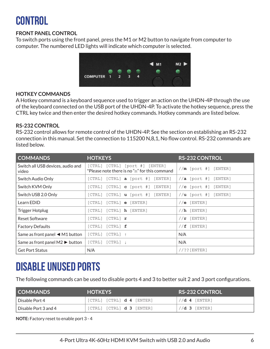### **control**

#### **FRONT PANEL CONTROL**

To switch ports using the front panel, press the M1 or M2 button to navigate from computer to computer. The numbered LED lights will indicate which computer is selected.



#### **HOTKEY COMMANDS**

A Hotkey command is a keyboard sequence used to trigger an action on the UHDN-4P through the use of the keyboard connected on the USB port of the UHDN-4P. To activate the hotkey sequence, press the CTRL key twice and then enter the desired hotkey commands. Hotkey commands are listed below.

#### **RS-232 CONTROL**

RS-232 control allows for remote control of the UHDN-4P. See the section on establishing an RS-232 connection in this manual. Set the connection to 115200 N,8,1, No flow control. RS-232 commands are listed below.

| <b>COMMANDS</b>                                    | <b>HOTKEYS</b>                                                                         | <b>RS-232 CONTROL</b>       |
|----------------------------------------------------|----------------------------------------------------------------------------------------|-----------------------------|
| Switch all USB devices, audio and<br>video         | [CTRL] [CTRL] [port #] [ENTER]<br>$*$ Please note there is no " $m$ " for this command | $//m$ [port #] [ENTER]      |
| Switch Audio Only                                  | $[CTRL]$ $[CTRL]$ <b>a</b> $[port #]$ $[ENTER]$                                        | $//a [port \#]]$<br>[ENTER] |
| Switch KVM Only                                    | $[CTRL]$ $[CTRL]$ <b>c</b> $[port #]$ $[ENTER]$                                        | [ENTER]<br>// $c$ [port #]  |
| Switch USB 2.0 Only                                | $[CTRL]$ $[CTRL]$ <b>u</b> $[port #]$ $[ENTER]$                                        | $//u$ [port #] [ENTER]      |
| Learn EDID                                         | $[CTRL]$ $[CTRL]$ $\boldsymbol{e}$ $[ENTER]$                                           | $//e$ [ENTER]               |
| <b>Trigger Hotplug</b>                             | [CTRL] [CTRL] <b>h</b> [ENTER]                                                         | $//h$ [ENTER]               |
| <b>Reset Software</b>                              | $[CTRL]$ $[CTRL]$ $\mathbf{r}$                                                         | [ENTER]<br>//r              |
| <b>Factory Defaults</b>                            | $[CTRL]$ $[CTRL]$ $f$                                                                  | [ENTER]<br>//f              |
| Same as front panel $\blacktriangleleft$ M1 button | [CTRL]<br>$[CFRL]$ 1                                                                   | N/A                         |
| Same as front panel $M2 \triangleright$ button     | $[CTRL]$ $[CTRL]$ $\downarrow$                                                         | N/A                         |
| <b>Get Port Status</b>                             | N/A                                                                                    | $//$ ?? [ENTER]             |

### **Disable Unused Ports**

The following commands can be used to disable ports 4 and 3 to better suit 2 and 3 port configurations.

| <b>COMMANDS</b>      | <b>HOTKEYS</b>                              | <b>RS-232 CONTROL</b> |
|----------------------|---------------------------------------------|-----------------------|
| l Disable Port 4     | $[CFRL]$ $[CFRL]$ $d$ $4$ $[ENTER]$         | $//d 4$ [ENTER]       |
| Disable Port 3 and 4 | $\vert$ [CTRL] <b>d 3</b> [ENTER]<br>[CTRL] | $//d$ 3 [ENTER]       |

**NOTE:** Factory reset to enable port 3 - 4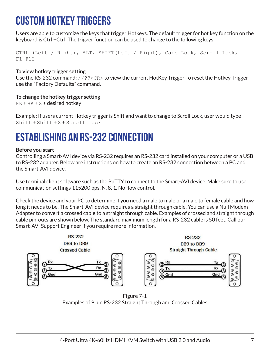### **Custom HotKey Triggers**

Users are able to customize the keys that trigger Hotkeys. The default trigger for hot key function on the keyboard is Ctrl +Ctrl. The trigger function can be used to change to the following keys:

CTRL (Left / Right), ALT, SHIFT(Left / Right), Caps Lock, Scroll Lock,  $F1-F12$ 

#### **To view hotkey trigger setting**

Use the RS-232 command: //**??**<CR> to view the current HotKey Trigger To reset the Hotkey Trigger use the "Factory Defaults" command.

#### **To change the hotkey trigger setting**

 $HK + HK + X + desired$  hotkey

Example: If users current Hotkey trigger is Shift and want to change to Scroll Lock, user would type Shift + Shift + X + Scroll lock

### **ESTABLISHING AN RS-232 CONNECTION**

#### **Before you start**

Controlling a Smart-AVI device via RS-232 requires an RS-232 card installed on your computer or a USB to RS-232 adapter. Below are instructions on how to create an RS-232 connection between a PC and the Smart-AVI device.

Use terminal client software such as the PuTTY to connect to the Smart-AVI device. Make sure to use communication settings 115200 bps, N, 8, 1, No flow control.

Check the device and your PC to determine if you need a male to male or a male to female cable and how long it needs to be. The Smart-AVI device requires a straight through cable. You can use a Null Modem Adapter to convert a crossed cable to a straight through cable. Examples of crossed and straight through cable pin-outs are shown below. The standard maximum length for a RS-232 cable is 50 feet. Call our Smart-AVI Support Engineer if you require more information.



Figure 7-1 Examples of 9 pin RS-232 Straight Through and Crossed Cables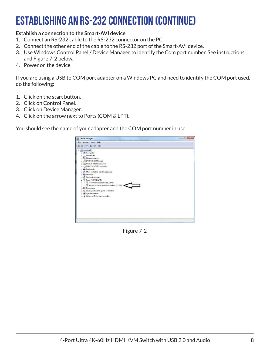### **ESTABLISHING AN RS-232 CONNECTION (continue)**

#### **Establish a connection to the Smart-AVI device**

- 1. Connect an RS-232 cable to the RS-232 connector on the PC.
- 2. Connect the other end of the cable to the RS-232 port of the Smart-AVI device.
- 3. Use Windows Control Panel / Device Manager to identify the Com port number. See instructions and Figure 7-2 below.
- 4. Power on the device.

If you are using a USB to COM port adapter on a Windows PC and need to identify the COM port used, do the following:

- 1. Click on the start button.
- 2. Click on Control Panel.
- 3. Click on Device Manager.
- 4. Click on the arrow next to Ports (COM & LPT).

You should see the name of your adapter and the COM port number in use.



Figure 7-2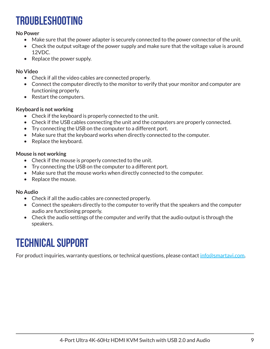### **Troubleshooting**

#### **No Power**

- Make sure that the power adapter is securely connected to the power connector of the unit.
- Check the output voltage of the power supply and make sure that the voltage value is around 12VDC.
- Replace the power supply.

#### **No Video**

- Check if all the video cables are connected properly.
- Connect the computer directly to the monitor to verify that your monitor and computer are functioning properly.
- Restart the computers.

#### **Keyboard is not working**

- Check if the keyboard is properly connected to the unit.
- Check if the USB cables connecting the unit and the computers are properly connected.
- Try connecting the USB on the computer to a different port.
- Make sure that the keyboard works when directly connected to the computer.
- Replace the keyboard.

#### **Mouse is not working**

- Check if the mouse is properly connected to the unit.
- Try connecting the USB on the computer to a different port.
- Make sure that the mouse works when directly connected to the computer.
- Replace the mouse.

#### **No Audio**

- Check if all the audio cables are connected properly.
- Connect the speakers directly to the computer to verify that the speakers and the computer audio are functioning properly.
- Check the audio settings of the computer and verify that the audio output is through the speakers.

### **Technical support**

For product inquiries, warranty questions, or technical questions, please contact info@smartavi.com.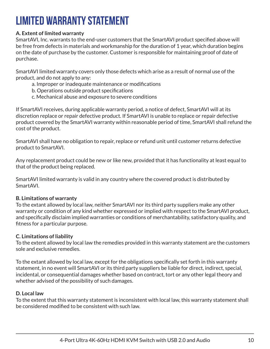### **Limited warranty statement**

#### **A. Extent of limited warranty**

SmartAVI, Inc. warrants to the end-user customers that the SmartAVI product specified above will be free from defects in materials and workmanship for the duration of 1 year, which duration begins on the date of purchase by the customer. Customer is responsible for maintaining proof of date of purchase.

SmartAVI limited warranty covers only those defects which arise as a result of normal use of the product, and do not apply to any:

- a. Improper or inadequate maintenance or modifications
- b. Operations outside product specifications
- c. Mechanical abuse and exposure to severe conditions

If SmartAVI receives, during applicable warranty period, a notice of defect, SmartAVI will at its discretion replace or repair defective product. If SmartAVI is unable to replace or repair defective product covered by the SmartAVI warranty within reasonable period of time, SmartAVI shall refund the cost of the product.

SmartAVI shall have no obligation to repair, replace or refund unit until customer returns defective product to SmartAVI.

Any replacement product could be new or like new, provided that it has functionality at least equal to that of the product being replaced.

SmartAVI limited warranty is valid in any country where the covered product is distributed by SmartAVI.

#### **B. Limitations of warranty**

To the extant allowed by local law, neither SmartAVI nor its third party suppliers make any other warranty or condition of any kind whether expressed or implied with respect to the SmartAVI product, and specifically disclaim implied warranties or conditions of merchantability, satisfactory quality, and fitness for a particular purpose.

#### **C. Limitations of liability**

To the extent allowed by local law the remedies provided in this warranty statement are the customers sole and exclusive remedies.

To the extant allowed by local law, except for the obligations specifically set forth in this warranty statement, in no event will SmartAVI or its third party suppliers be liable for direct, indirect, special, incidental, or consequential damages whether based on contract, tort or any other legal theory and whether advised of the possibility of such damages.

#### **D. Local law**

To the extent that this warranty statement is inconsistent with local law, this warranty statement shall be considered modified to be consistent with such law.